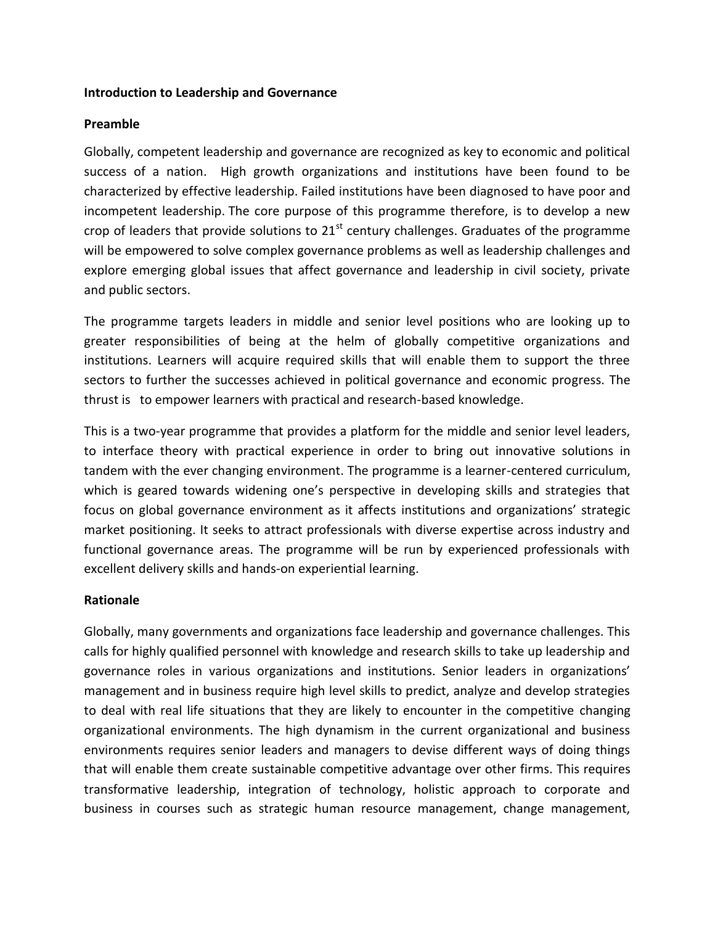### **Introduction to Leadership and Governance**

## **Preamble**

Globally, competent leadership and governance are recognized as key to economic and political success of a nation. High growth organizations and institutions have been found to be characterized by effective leadership. Failed institutions have been diagnosed to have poor and incompetent leadership. The core purpose of this programme therefore, is to develop a new crop of leaders that provide solutions to  $21<sup>st</sup>$  century challenges. Graduates of the programme will be empowered to solve complex governance problems as well as leadership challenges and explore emerging global issues that affect governance and leadership in civil society, private and public sectors.

The programme targets leaders in middle and senior level positions who are looking up to greater responsibilities of being at the helm of globally competitive organizations and institutions. Learners will acquire required skills that will enable them to support the three sectors to further the successes achieved in political governance and economic progress. The thrust is to empower learners with practical and research-based knowledge.

This is a two-year programme that provides a platform for the middle and senior level leaders, to interface theory with practical experience in order to bring out innovative solutions in tandem with the ever changing environment. The programme is a learner-centered curriculum, which is geared towards widening one's perspective in developing skills and strategies that focus on global governance environment as it affects institutions and organizations' strategic market positioning. It seeks to attract professionals with diverse expertise across industry and functional governance areas. The programme will be run by experienced professionals with excellent delivery skills and hands-on experiential learning.

## **Rationale**

Globally, many governments and organizations face leadership and governance challenges. This calls for highly qualified personnel with knowledge and research skills to take up leadership and governance roles in various organizations and institutions. Senior leaders in organizations' management and in business require high level skills to predict, analyze and develop strategies to deal with real life situations that they are likely to encounter in the competitive changing organizational environments. The high dynamism in the current organizational and business environments requires senior leaders and managers to devise different ways of doing things that will enable them create sustainable competitive advantage over other firms. This requires transformative leadership, integration of technology, holistic approach to corporate and business in courses such as strategic human resource management, change management,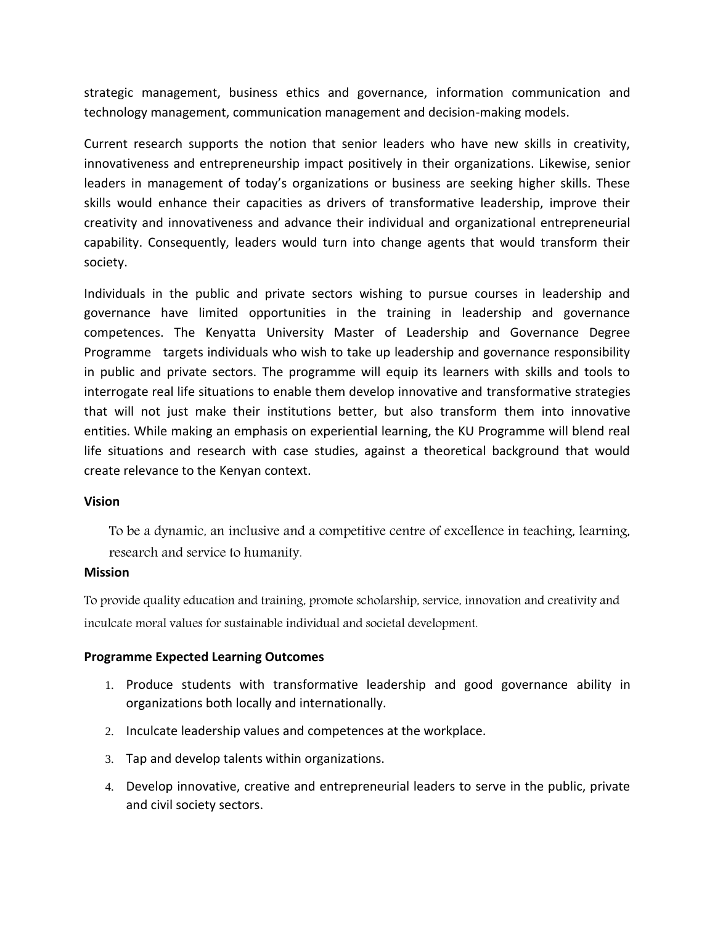strategic management, business ethics and governance, information communication and technology management, communication management and decision-making models.

Current research supports the notion that senior leaders who have new skills in creativity, innovativeness and entrepreneurship impact positively in their organizations. Likewise, senior leaders in management of today's organizations or business are seeking higher skills. These skills would enhance their capacities as drivers of transformative leadership, improve their creativity and innovativeness and advance their individual and organizational entrepreneurial capability. Consequently, leaders would turn into change agents that would transform their society.

Individuals in the public and private sectors wishing to pursue courses in leadership and governance have limited opportunities in the training in leadership and governance competences. The Kenyatta University Master of Leadership and Governance Degree Programme targets individuals who wish to take up leadership and governance responsibility in public and private sectors. The programme will equip its learners with skills and tools to interrogate real life situations to enable them develop innovative and transformative strategies that will not just make their institutions better, but also transform them into innovative entities. While making an emphasis on experiential learning, the KU Programme will blend real life situations and research with case studies, against a theoretical background that would create relevance to the Kenyan context.

### **Vision**

To be a dynamic, an inclusive and a competitive centre of excellence in teaching, learning, research and service to humanity.

### **Mission**

To provide quality education and training, promote scholarship, service, innovation and creativity and inculcate moral values for sustainable individual and societal development.

### **Programme Expected Learning Outcomes**

- 1. Produce students with transformative leadership and good governance ability in organizations both locally and internationally.
- 2. Inculcate leadership values and competences at the workplace.
- 3. Tap and develop talents within organizations.
- 4. Develop innovative, creative and entrepreneurial leaders to serve in the public, private and civil society sectors.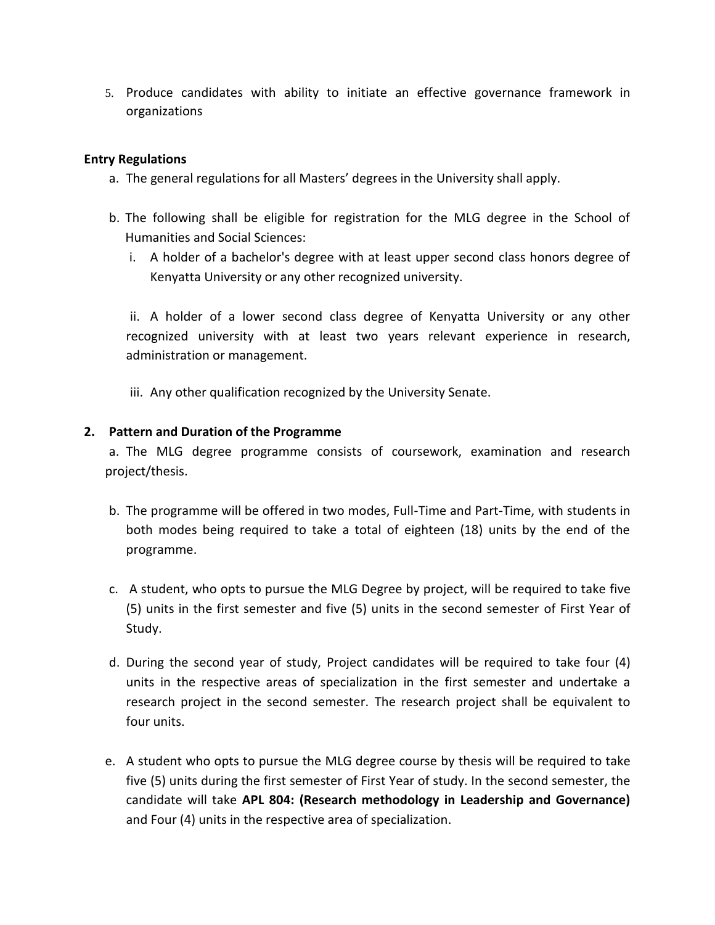5. Produce candidates with ability to initiate an effective governance framework in organizations

# **Entry Regulations**

- a. The general regulations for all Masters' degrees in the University shall apply.
- b. The following shall be eligible for registration for the MLG degree in the School of Humanities and Social Sciences:
	- i. A holder of a bachelor's degree with at least upper second class honors degree of Kenyatta University or any other recognized university.

ii. A holder of a lower second class degree of Kenyatta University or any other recognized university with at least two years relevant experience in research, administration or management.

iii. Any other qualification recognized by the University Senate.

## **2. Pattern and Duration of the Programme**

a. The MLG degree programme consists of coursework, examination and research project/thesis.

- b. The programme will be offered in two modes, Full-Time and Part-Time, with students in both modes being required to take a total of eighteen (18) units by the end of the programme.
- c. A student, who opts to pursue the MLG Degree by project, will be required to take five (5) units in the first semester and five (5) units in the second semester of First Year of Study.
- d. During the second year of study, Project candidates will be required to take four (4) units in the respective areas of specialization in the first semester and undertake a research project in the second semester. The research project shall be equivalent to four units.
- e. A student who opts to pursue the MLG degree course by thesis will be required to take five (5) units during the first semester of First Year of study. In the second semester, the candidate will take **APL 804: (Research methodology in Leadership and Governance)** and Four (4) units in the respective area of specialization.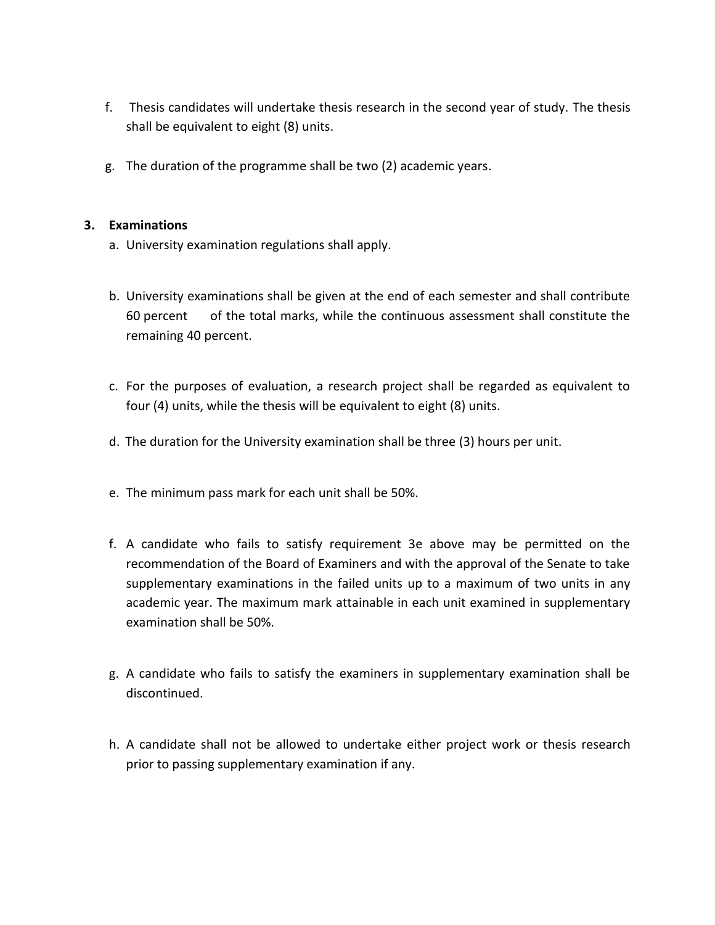- f. Thesis candidates will undertake thesis research in the second year of study. The thesis shall be equivalent to eight (8) units.
- g. The duration of the programme shall be two (2) academic years.

# **3. Examinations**

- a. University examination regulations shall apply.
- b. University examinations shall be given at the end of each semester and shall contribute 60 percent of the total marks, while the continuous assessment shall constitute the remaining 40 percent.
- c. For the purposes of evaluation, a research project shall be regarded as equivalent to four (4) units, while the thesis will be equivalent to eight (8) units.
- d. The duration for the University examination shall be three (3) hours per unit.
- e. The minimum pass mark for each unit shall be 50%.
- f. A candidate who fails to satisfy requirement 3e above may be permitted on the recommendation of the Board of Examiners and with the approval of the Senate to take supplementary examinations in the failed units up to a maximum of two units in any academic year. The maximum mark attainable in each unit examined in supplementary examination shall be 50%.
- g. A candidate who fails to satisfy the examiners in supplementary examination shall be discontinued.
- h. A candidate shall not be allowed to undertake either project work or thesis research prior to passing supplementary examination if any.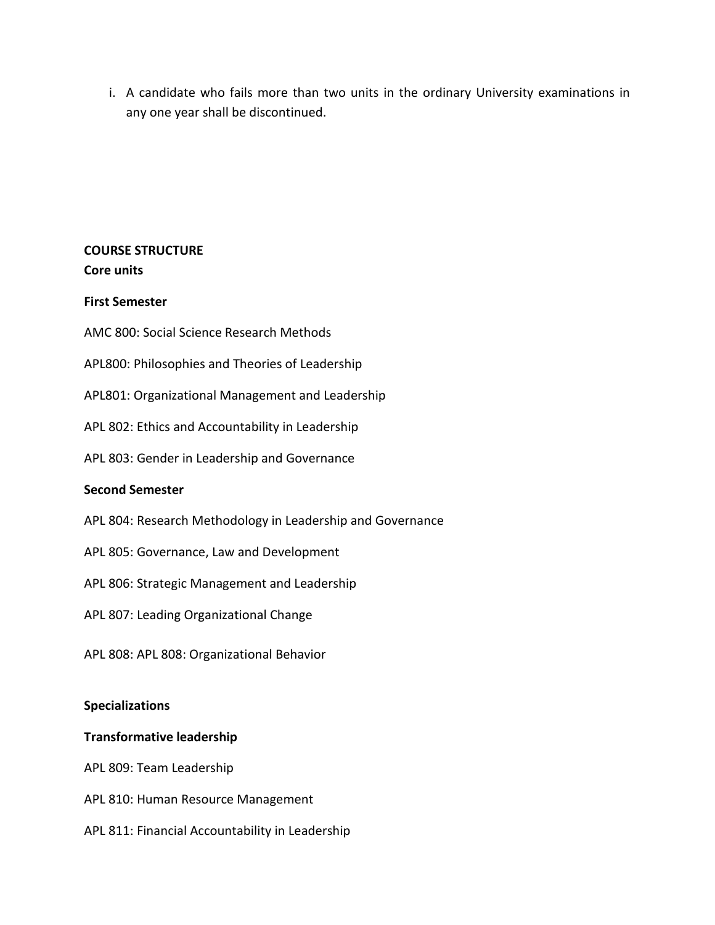i. A candidate who fails more than two units in the ordinary University examinations in any one year shall be discontinued.

# **COURSE STRUCTURE Core units**

# **First Semester**

AMC 800: Social Science Research Methods

APL800: Philosophies and Theories of Leadership

APL801: Organizational Management and Leadership

APL 802: Ethics and Accountability in Leadership

APL 803: Gender in Leadership and Governance

## **Second Semester**

- APL 804: Research Methodology in Leadership and Governance
- APL 805: Governance, Law and Development
- APL 806: Strategic Management and Leadership
- APL 807: Leading Organizational Change
- APL 808: APL 808: Organizational Behavior

### **Specializations**

### **Transformative leadership**

APL 809: Team Leadership

- APL 810: Human Resource Management
- APL 811: Financial Accountability in Leadership